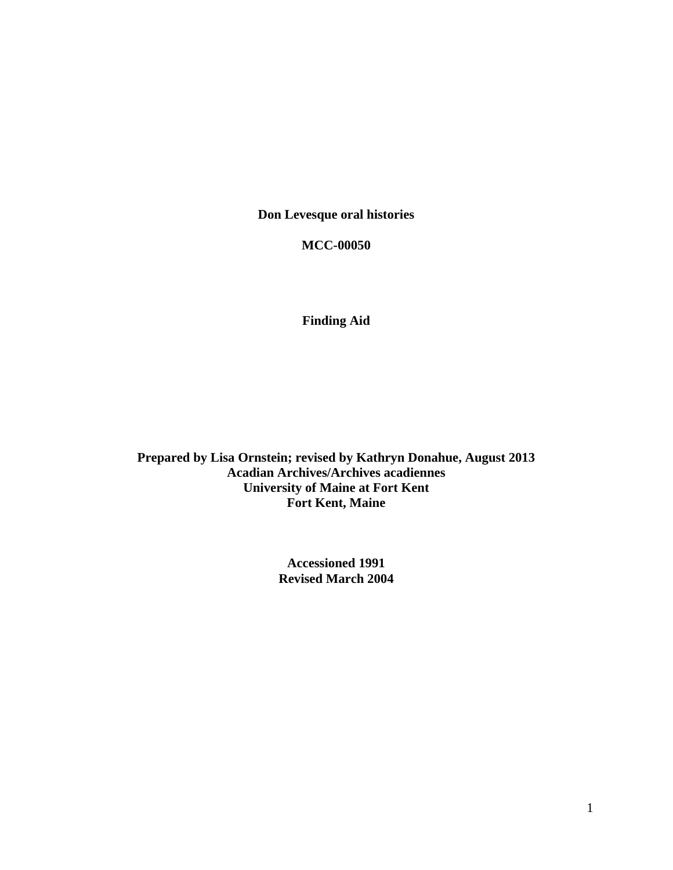**Don Levesque oral histories** 

**MCC-00050** 

**Finding Aid** 

**Prepared by Lisa Ornstein; revised by Kathryn Donahue, August 2013 Acadian Archives/Archives acadiennes University of Maine at Fort Kent Fort Kent, Maine** 

> **Accessioned 1991 Revised March 2004**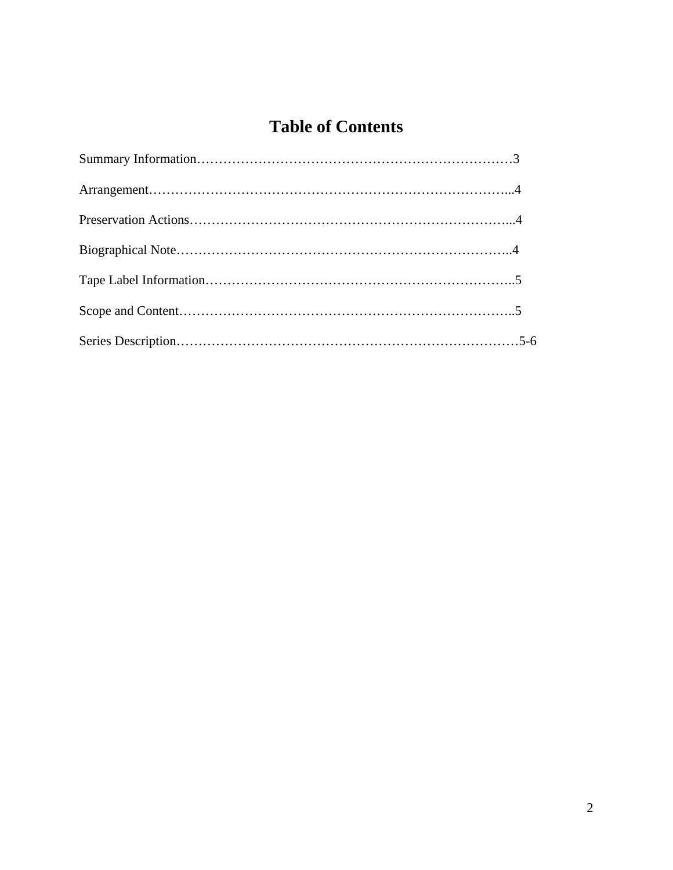# **Table of Contents**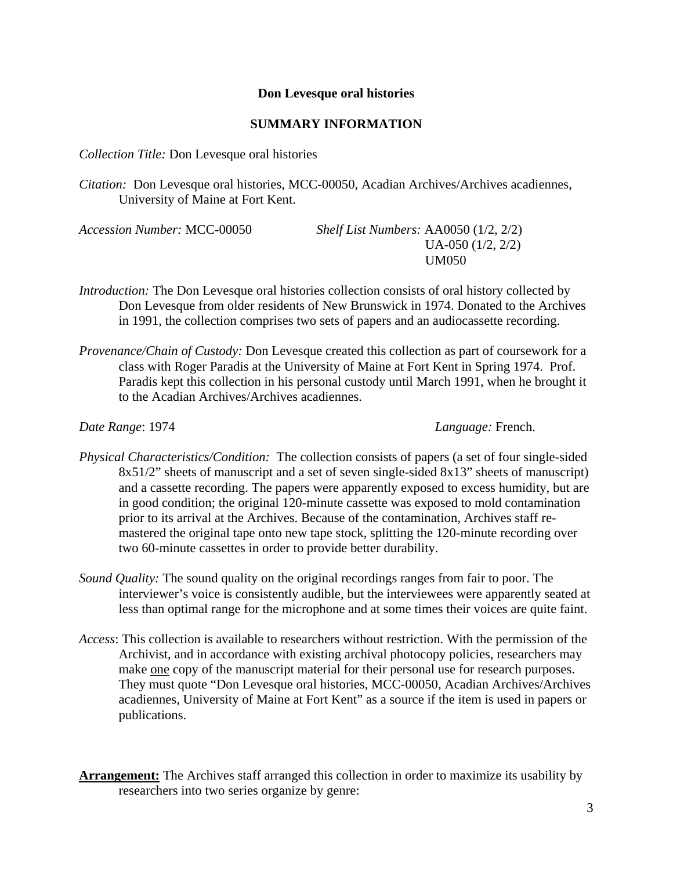## **Don Levesque oral histories**

## **SUMMARY INFORMATION**

*Collection Title:* Don Levesque oral histories

*Citation:* Don Levesque oral histories, MCC-00050, Acadian Archives/Archives acadiennes, University of Maine at Fort Kent.

*Accession Number:* MCC-00050 *Shelf List Numbers:* AA0050 (1/2, 2/2) UA-050 (1/2, 2/2) UM050

- *Introduction:* The Don Levesque oral histories collection consists of oral history collected by Don Levesque from older residents of New Brunswick in 1974. Donated to the Archives in 1991, the collection comprises two sets of papers and an audiocassette recording.
- *Provenance/Chain of Custody:* Don Levesque created this collection as part of coursework for a class with Roger Paradis at the University of Maine at Fort Kent in Spring 1974. Prof. Paradis kept this collection in his personal custody until March 1991, when he brought it to the Acadian Archives/Archives acadiennes.

*Date Range*: 1974 *Language:* French.

- *Physical Characteristics/Condition:* The collection consists of papers (a set of four single-sided 8x51/2" sheets of manuscript and a set of seven single-sided 8x13" sheets of manuscript) and a cassette recording. The papers were apparently exposed to excess humidity, but are in good condition; the original 120-minute cassette was exposed to mold contamination prior to its arrival at the Archives. Because of the contamination, Archives staff remastered the original tape onto new tape stock, splitting the 120-minute recording over two 60-minute cassettes in order to provide better durability.
- *Sound Quality:* The sound quality on the original recordings ranges from fair to poor. The interviewer's voice is consistently audible, but the interviewees were apparently seated at less than optimal range for the microphone and at some times their voices are quite faint.
- *Access*: This collection is available to researchers without restriction. With the permission of the Archivist, and in accordance with existing archival photocopy policies, researchers may make one copy of the manuscript material for their personal use for research purposes. They must quote "Don Levesque oral histories, MCC-00050, Acadian Archives/Archives acadiennes, University of Maine at Fort Kent" as a source if the item is used in papers or publications.
- **Arrangement:** The Archives staff arranged this collection in order to maximize its usability by researchers into two series organize by genre: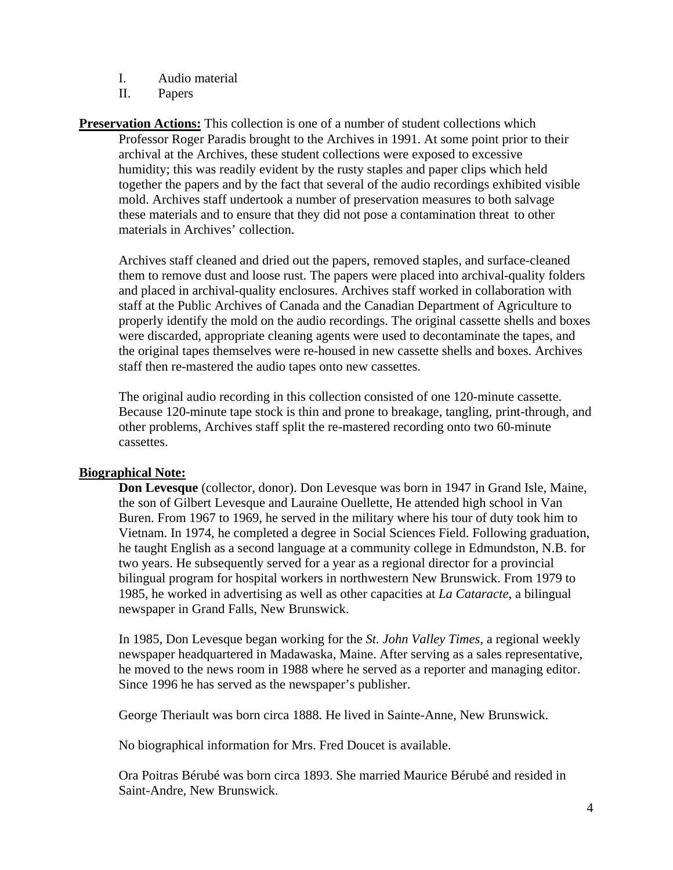- I. Audio material
- II. Papers
- **Preservation Actions:** This collection is one of a number of student collections which Professor Roger Paradis brought to the Archives in 1991. At some point prior to their archival at the Archives, these student collections were exposed to excessive humidity; this was readily evident by the rusty staples and paper clips which held together the papers and by the fact that several of the audio recordings exhibited visible mold. Archives staff undertook a number of preservation measures to both salvage these materials and to ensure that they did not pose a contamination threat to other materials in Archives' collection.

Archives staff cleaned and dried out the papers, removed staples, and surface-cleaned them to remove dust and loose rust. The papers were placed into archival-quality folders and placed in archival-quality enclosures. Archives staff worked in collaboration with staff at the Public Archives of Canada and the Canadian Department of Agriculture to properly identify the mold on the audio recordings. The original cassette shells and boxes were discarded, appropriate cleaning agents were used to decontaminate the tapes, and the original tapes themselves were re-housed in new cassette shells and boxes. Archives staff then re-mastered the audio tapes onto new cassettes.

The original audio recording in this collection consisted of one 120-minute cassette. Because 120-minute tape stock is thin and prone to breakage, tangling, print-through, and other problems, Archives staff split the re-mastered recording onto two 60-minute cassettes.

## **Biographical Note:**

 **Don Levesque** (collector, donor). Don Levesque was born in 1947 in Grand Isle, Maine, the son of Gilbert Levesque and Lauraine Ouellette, He attended high school in Van Buren. From 1967 to 1969, he served in the military where his tour of duty took him to Vietnam. In 1974, he completed a degree in Social Sciences Field. Following graduation, he taught English as a second language at a community college in Edmundston, N.B. for two years. He subsequently served for a year as a regional director for a provincial bilingual program for hospital workers in northwestern New Brunswick. From 1979 to 1985, he worked in advertising as well as other capacities at *La Cataracte*, a bilingual newspaper in Grand Falls, New Brunswick.

 In 1985, Don Levesque began working for the *St. John Valley Times*, a regional weekly newspaper headquartered in Madawaska, Maine. After serving as a sales representative, he moved to the news room in 1988 where he served as a reporter and managing editor. Since 1996 he has served as the newspaper's publisher.

George Theriault was born circa 1888. He lived in Sainte-Anne, New Brunswick.

No biographical information for Mrs. Fred Doucet is available.

 Ora Poitras Bérubé was born circa 1893. She married Maurice Bérubé and resided in Saint-Andre, New Brunswick.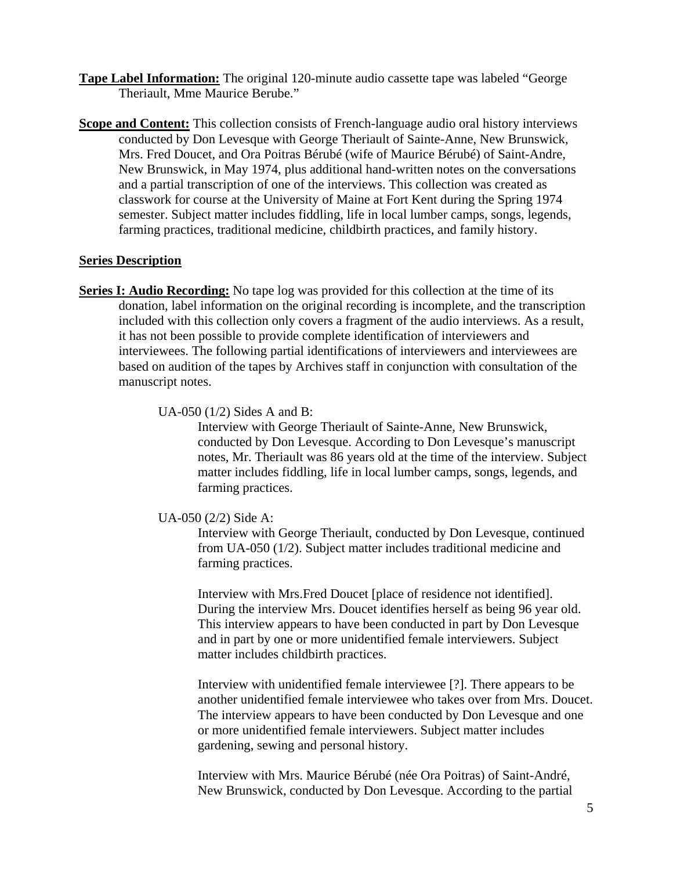**Tape Label Information:** The original 120-minute audio cassette tape was labeled "George Theriault, Mme Maurice Berube."

**Scope and Content:** This collection consists of French-language audio oral history interviews conducted by Don Levesque with George Theriault of Sainte-Anne, New Brunswick, Mrs. Fred Doucet, and Ora Poitras Bérubé (wife of Maurice Bérubé) of Saint-Andre, New Brunswick, in May 1974, plus additional hand-written notes on the conversations and a partial transcription of one of the interviews. This collection was created as classwork for course at the University of Maine at Fort Kent during the Spring 1974 semester. Subject matter includes fiddling, life in local lumber camps, songs, legends, farming practices, traditional medicine, childbirth practices, and family history.

### **Series Description**

**Series I: Audio Recording:** No tape log was provided for this collection at the time of its donation, label information on the original recording is incomplete, and the transcription included with this collection only covers a fragment of the audio interviews. As a result, it has not been possible to provide complete identification of interviewers and interviewees. The following partial identifications of interviewers and interviewees are based on audition of the tapes by Archives staff in conjunction with consultation of the manuscript notes.

#### UA-050 (1/2) Sides A and B:

Interview with George Theriault of Sainte-Anne, New Brunswick, conducted by Don Levesque. According to Don Levesque's manuscript notes, Mr. Theriault was 86 years old at the time of the interview. Subject matter includes fiddling, life in local lumber camps, songs, legends, and farming practices.

#### UA-050 (2/2) Side A:

Interview with George Theriault, conducted by Don Levesque, continued from UA-050 (1/2). Subject matter includes traditional medicine and farming practices.

Interview with Mrs.Fred Doucet [place of residence not identified]. During the interview Mrs. Doucet identifies herself as being 96 year old. This interview appears to have been conducted in part by Don Levesque and in part by one or more unidentified female interviewers. Subject matter includes childbirth practices.

Interview with unidentified female interviewee [?]. There appears to be another unidentified female interviewee who takes over from Mrs. Doucet. The interview appears to have been conducted by Don Levesque and one or more unidentified female interviewers. Subject matter includes gardening, sewing and personal history.

Interview with Mrs. Maurice Bérubé (née Ora Poitras) of Saint-André, New Brunswick, conducted by Don Levesque. According to the partial